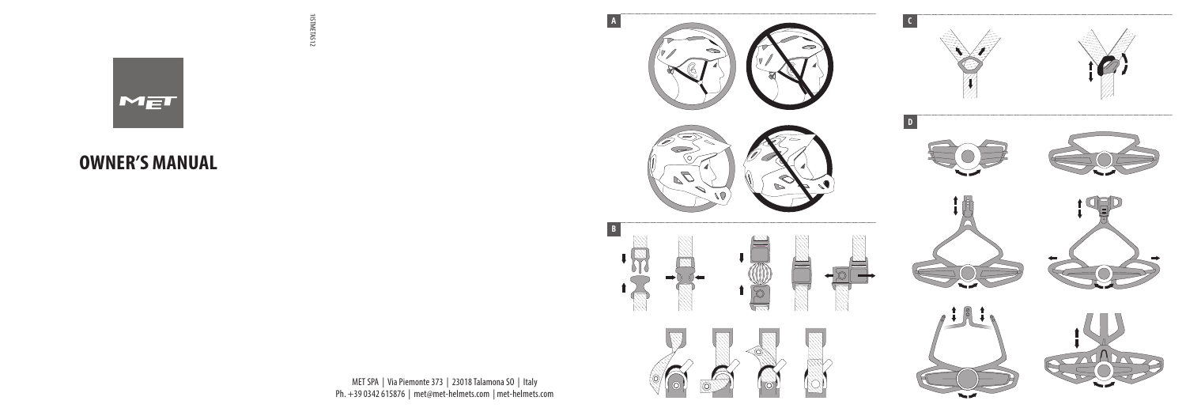

1ISTMETAS12

1ISTMETAS12

## **OWNER'S MANUAL**



 $\mathbf{q}$ 

MET SPA | Via Piemonte 373 | 23018 Talamona SO | Italy Ph. +39 0342 615876 | met@met-helmets.com | met-helmets.com